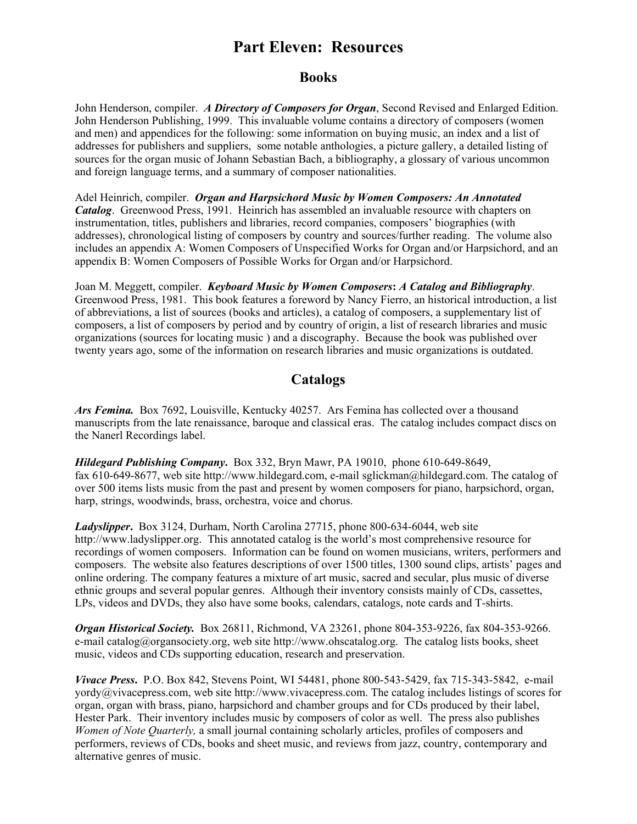# **Part Eleven: Resources**

#### **Books**

John Henderson, compiler. *A Directory of Composers for Organ*, Second Revised and Enlarged Edition. John Henderson Publishing, 1999. This invaluable volume contains a directory of composers (women and men) and appendices for the following: some information on buying music, an index and a list of addresses for publishers and suppliers, some notable anthologies, a picture gallery, a detailed listing of sources for the organ music of Johann Sebastian Bach, a bibliography, a glossary of various uncommon and foreign language terms, and a summary of composer nationalities.

Adel Heinrich, compiler. *Organ and Harpsichord Music by Women Composers: An Annotated Catalog*. Greenwood Press, 1991. Heinrich has assembled an invaluable resource with chapters on instrumentation, titles, publishers and libraries, record companies, composers' biographies (with addresses), chronological listing of composers by country and sources/further reading. The volume also includes an appendix A: Women Composers of Unspecified Works for Organ and/or Harpsichord, and an appendix B: Women Composers of Possible Works for Organ and/or Harpsichord.

Joan M. Meggett, compiler. *Keyboard Music by Women Composers***:** *A Catalog and Bibliography*. Greenwood Press, 1981. This book features a foreword by Nancy Fierro, an historical introduction, a list of abbreviations, a list of sources (books and articles), a catalog of composers, a supplementary list of composers, a list of composers by period and by country of origin, a list of research libraries and music organizations (sources for locating music ) and a discography. Because the book was published over twenty years ago, some of the information on research libraries and music organizations is outdated.

#### **Catalogs**

*Ars Femina.* Box 7692, Louisville, Kentucky 40257. Ars Femina has collected over a thousand manuscripts from the late renaissance, baroque and classical eras. The catalog includes compact discs on the Nanerl Recordings label.

*Hildegard Publishing Company***.** Box 332, Bryn Mawr, PA 19010, phone 610-649-8649, fax 610-649-8677, web site http://www.hildegard.com, e-mail sglickman@hildegard.com. The catalog of over 500 items lists music from the past and present by women composers for piano, harpsichord, organ, harp, strings, woodwinds, brass, orchestra, voice and chorus.

*Ladyslipper***.** Box 3124, Durham, North Carolina 27715, phone 800-634-6044, web site http://www.ladyslipper.org. This annotated catalog is the world's most comprehensive resource for recordings of women composers. Information can be found on women musicians, writers, performers and composers. The website also features descriptions of over 1500 titles, 1300 sound clips, artists' pages and online ordering. The company features a mixture of art music, sacred and secular, plus music of diverse ethnic groups and several popular genres. Although their inventory consists mainly of CDs, cassettes, LPs, videos and DVDs, they also have some books, calendars, catalogs, note cards and T-shirts.

*Organ Historical Society.* Box 26811, Richmond, VA 23261, phone 804-353-9226, fax 804-353-9266. e-mail catalog@organsociety.org, web site http://www.ohscatalog.org. The catalog lists books, sheet music, videos and CDs supporting education, research and preservation.

*Vivace Press***.** P.O. Box 842, Stevens Point, WI 54481, phone 800-543-5429, fax 715-343-5842, e-mail yordy@vivacepress.com, web site http://www.vivacepress.com. The catalog includes listings of scores for organ, organ with brass, piano, harpsichord and chamber groups and for CDs produced by their label, Hester Park. Their inventory includes music by composers of color as well. The press also publishes *Women of Note Quarterly,* a small journal containing scholarly articles, profiles of composers and performers, reviews of CDs, books and sheet music, and reviews from jazz, country, contemporary and alternative genres of music.